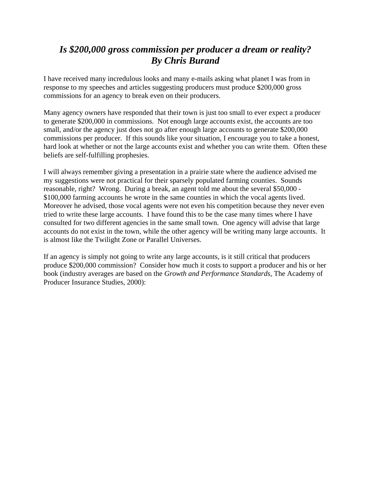## *Is \$200,000 gross commission per producer a dream or reality? By Chris Burand*

I have received many incredulous looks and many e-mails asking what planet I was from in response to my speeches and articles suggesting producers must produce \$200,000 gross commissions for an agency to break even on their producers.

Many agency owners have responded that their town is just too small to ever expect a producer to generate \$200,000 in commissions. Not enough large accounts exist, the accounts are too small, and/or the agency just does not go after enough large accounts to generate \$200,000 commissions per producer. If this sounds like your situation, I encourage you to take a honest, hard look at whether or not the large accounts exist and whether you can write them. Often these beliefs are self-fulfilling prophesies.

I will always remember giving a presentation in a prairie state where the audience advised me my suggestions were not practical for their sparsely populated farming counties. Sounds reasonable, right? Wrong. During a break, an agent told me about the several \$50,000 - \$100,000 farming accounts he wrote in the same counties in which the vocal agents lived. Moreover he advised, those vocal agents were not even his competition because they never even tried to write these large accounts. I have found this to be the case many times where I have consulted for two different agencies in the same small town. One agency will advise that large accounts do not exist in the town, while the other agency will be writing many large accounts. It is almost like the Twilight Zone or Parallel Universes.

If an agency is simply not going to write any large accounts, is it still critical that producers produce \$200,000 commission? Consider how much it costs to support a producer and his or her book (industry averages are based on the *Growth and Performance Standards*, The Academy of Producer Insurance Studies, 2000):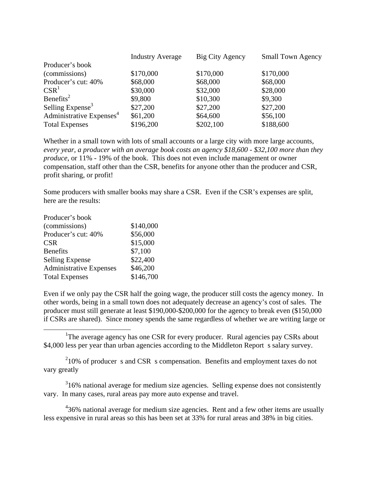|                                      | <b>Industry Average</b> | Big City Agency | <b>Small Town Agency</b> |
|--------------------------------------|-------------------------|-----------------|--------------------------|
| Producer's book                      |                         |                 |                          |
| (commissions)                        | \$170,000               | \$170,000       | \$170,000                |
| Producer's cut: 40%                  | \$68,000                | \$68,000        | \$68,000                 |
| $CSR^1$                              | \$30,000                | \$32,000        | \$28,000                 |
| Benefits <sup>2</sup>                | \$9,800                 | \$10,300        | \$9,300                  |
| Selling Expense <sup>3</sup>         | \$27,200                | \$27,200        | \$27,200                 |
| Administrative Expenses <sup>4</sup> | \$61,200                | \$64,600        | \$56,100                 |
| <b>Total Expenses</b>                | \$196,200               | \$202,100       | \$188,600                |

Whether in a small town with lots of small accounts or a large city with more large accounts, *every year, a producer with an average book costs an agency \$18,600 - \$32,100 more than they produce*, or 11% - 19% of the book. This does not even include management or owner compensation, staff other than the CSR, benefits for anyone other than the producer and CSR, profit sharing, or profit!

Some producers with smaller books may share a CSR. Even if the CSR's expenses are split, here are the results:

| Producer's book                |           |
|--------------------------------|-----------|
| (commissions)                  | \$140,000 |
| Producer's cut: 40%            | \$56,000  |
| <b>CSR</b>                     | \$15,000  |
| <b>Benefits</b>                | \$7,100   |
| <b>Selling Expense</b>         | \$22,400  |
| <b>Administrative Expenses</b> | \$46,200  |
| <b>Total Expenses</b>          | \$146,700 |
|                                |           |

<span id="page-1-0"></span>l

Even if we only pay the CSR half the going wage, the producer still costs the agency money. In other words, being in a small town does not adequately decrease an agency's cost of sales. The producer must still generate at least \$190,000-\$200,000 for the agency to break even (\$150,000 if CSRs are shared). Since money spends the same regardless of whether we are writing large or

<sup>1</sup>The average agency has one CSR for every producer. Rural agencies pay CSRs about \$4,000 less per year than urban agencies according to the Middleton Report s salary survey.

<span id="page-1-1"></span> $210\%$  of producer s and CSR s compensation. Benefits and employment taxes do not vary greatly

<span id="page-1-2"></span> $316\%$  national average for medium size agencies. Selling expense does not consistently vary. In many cases, rural areas pay more auto expense and travel.

<span id="page-1-3"></span> $436\%$  national average for medium size agencies. Rent and a few other items are usually less expensive in rural areas so this has been set at 33% for rural areas and 38% in big cities.